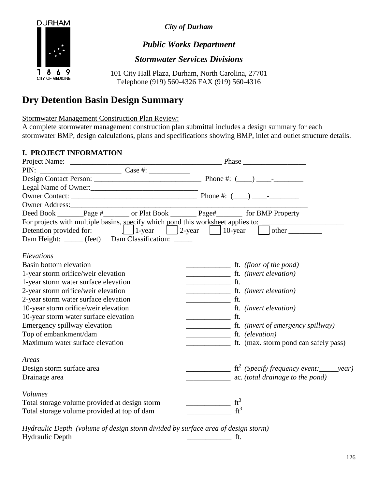

*City of Durham*

## *Public Works Department*

#### *Stormwater Services Divisions*

101 City Hall Plaza, Durham, North Carolina, 27701 Telephone (919) 560-4326 FAX (919) 560-4316

# **Dry Detention Basin Design Summary**

Stormwater Management Construction Plan Review:

A complete stormwater management construction plan submittal includes a design summary for each stormwater BMP, design calculations, plans and specifications showing BMP, inlet and outlet structure details.

#### **I. PROJECT INFORMATION**

| <b>1. I ROJECT THE ORIGINALION</b>                                                    |                                                                                                                                                                                                                                                                                                                                                                                                                                   |  |  |  |  |  |
|---------------------------------------------------------------------------------------|-----------------------------------------------------------------------------------------------------------------------------------------------------------------------------------------------------------------------------------------------------------------------------------------------------------------------------------------------------------------------------------------------------------------------------------|--|--|--|--|--|
|                                                                                       |                                                                                                                                                                                                                                                                                                                                                                                                                                   |  |  |  |  |  |
|                                                                                       |                                                                                                                                                                                                                                                                                                                                                                                                                                   |  |  |  |  |  |
|                                                                                       |                                                                                                                                                                                                                                                                                                                                                                                                                                   |  |  |  |  |  |
|                                                                                       |                                                                                                                                                                                                                                                                                                                                                                                                                                   |  |  |  |  |  |
|                                                                                       |                                                                                                                                                                                                                                                                                                                                                                                                                                   |  |  |  |  |  |
| Owner Address:                                                                        |                                                                                                                                                                                                                                                                                                                                                                                                                                   |  |  |  |  |  |
| Deed Book _______Page #_______ or Plat Book _________ Page#_________ for BMP Property |                                                                                                                                                                                                                                                                                                                                                                                                                                   |  |  |  |  |  |
|                                                                                       | For projects with multiple basins, specify which pond this worksheet applies to:                                                                                                                                                                                                                                                                                                                                                  |  |  |  |  |  |
|                                                                                       |                                                                                                                                                                                                                                                                                                                                                                                                                                   |  |  |  |  |  |
| Dam Height: _____ (feet) Dam Classification: _____                                    |                                                                                                                                                                                                                                                                                                                                                                                                                                   |  |  |  |  |  |
| Elevations                                                                            |                                                                                                                                                                                                                                                                                                                                                                                                                                   |  |  |  |  |  |
| Basin bottom elevation                                                                | $\frac{1}{\sqrt{1-\frac{1}{\sqrt{1-\frac{1}{\sqrt{1-\frac{1}{\sqrt{1-\frac{1}{\sqrt{1-\frac{1}{\sqrt{1-\frac{1}{\sqrt{1-\frac{1}{\sqrt{1-\frac{1}{\sqrt{1-\frac{1}{\sqrt{1-\frac{1}{\sqrt{1-\frac{1}{\sqrt{1-\frac{1}{\sqrt{1-\frac{1}{\sqrt{1-\frac{1}{\sqrt{1-\frac{1}{\sqrt{1-\frac{1}{\sqrt{1-\frac{1}{\sqrt{1-\frac{1}{\sqrt{1-\frac{1}{\sqrt{1-\frac{1}{\sqrt{1-\frac{1}{\sqrt{1-\frac{1}{\sqrt{1-\frac{1}{\sqrt{1-\frac{1$ |  |  |  |  |  |
| 1-year storm orifice/weir elevation                                                   | ft. (invert elevation)                                                                                                                                                                                                                                                                                                                                                                                                            |  |  |  |  |  |
| 1-year storm water surface elevation                                                  | $\frac{1}{\sqrt{1-\frac{1}{2}}}\int_{-\frac{1}{2}}^{\frac{1}{2}}\frac{dx}{dx}$                                                                                                                                                                                                                                                                                                                                                    |  |  |  |  |  |
| 2-year storm orifice/weir elevation                                                   |                                                                                                                                                                                                                                                                                                                                                                                                                                   |  |  |  |  |  |
| 2-year storm water surface elevation                                                  | $\frac{1}{\sqrt{1-\frac{1}{2}}}\int_{-\frac{1}{2}}^{\frac{1}{2}}\frac{dx}{dx}$                                                                                                                                                                                                                                                                                                                                                    |  |  |  |  |  |
| 10-year storm orifice/weir elevation                                                  | ft. (invert elevation)                                                                                                                                                                                                                                                                                                                                                                                                            |  |  |  |  |  |
| 10-year storm water surface elevation                                                 | $\frac{1}{\sqrt{1-\frac{1}{2}}}\int_{-\frac{1}{2}}^{\frac{1}{2}}$                                                                                                                                                                                                                                                                                                                                                                 |  |  |  |  |  |
| Emergency spillway elevation                                                          |                                                                                                                                                                                                                                                                                                                                                                                                                                   |  |  |  |  |  |
| Top of embankment/dam                                                                 | $\frac{\ }{\ }$ ft. (elevation)                                                                                                                                                                                                                                                                                                                                                                                                   |  |  |  |  |  |
| Maximum water surface elevation                                                       | ft. (max. storm pond can safely pass)                                                                                                                                                                                                                                                                                                                                                                                             |  |  |  |  |  |
| Areas                                                                                 |                                                                                                                                                                                                                                                                                                                                                                                                                                   |  |  |  |  |  |
| Design storm surface area                                                             | $\frac{1}{\sqrt{1-\frac{1}{\sqrt{1-\frac{1}{\sqrt{1-\frac{1}{\sqrt{1-\frac{1}{\sqrt{1-\frac{1}{\sqrt{1-\frac{1}{\sqrt{1-\frac{1}{\sqrt{1-\frac{1}{\sqrt{1-\frac{1}{\sqrt{1-\frac{1}{\sqrt{1-\frac{1}{\sqrt{1-\frac{1}{\sqrt{1-\frac{1}{\sqrt{1-\frac{1}{\sqrt{1-\frac{1}{\sqrt{1-\frac{1}{\sqrt{1-\frac{1}{\sqrt{1-\frac{1}{\sqrt{1-\frac{1}{\sqrt{1-\frac{1}{\sqrt{1-\frac{1}{\sqrt{1-\frac{1}{\sqrt{1-\frac{1}{\sqrt{1-\frac{1$ |  |  |  |  |  |
| Drainage area                                                                         | ac. (total drainage to the pond)                                                                                                                                                                                                                                                                                                                                                                                                  |  |  |  |  |  |
| <b>Volumes</b>                                                                        |                                                                                                                                                                                                                                                                                                                                                                                                                                   |  |  |  |  |  |
| Total storage volume provided at design storm                                         | $ft^3$                                                                                                                                                                                                                                                                                                                                                                                                                            |  |  |  |  |  |
| Total storage volume provided at top of dam                                           | $ft^3$                                                                                                                                                                                                                                                                                                                                                                                                                            |  |  |  |  |  |
|                                                                                       |                                                                                                                                                                                                                                                                                                                                                                                                                                   |  |  |  |  |  |

*Hydraulic Depth (volume of design storm divided by surface area of design storm)* Hydraulic Depth \_\_\_\_\_\_\_\_\_\_\_\_ ft.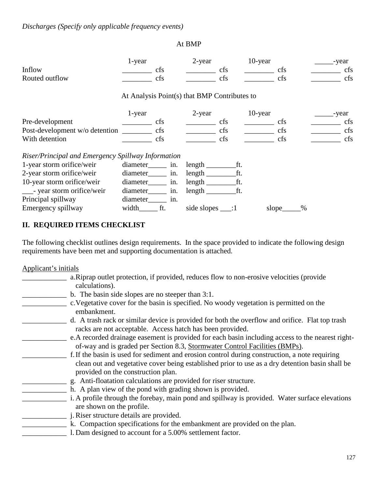#### At BMP

| Inflow<br>Routed outflow                           | 1-year                                       | cfs<br>cfs | 2-year                  | <b>cfs</b><br>cfs | $10$ -year | cfs<br>cfs  | -year<br>cfs<br>cfs |
|----------------------------------------------------|----------------------------------------------|------------|-------------------------|-------------------|------------|-------------|---------------------|
|                                                    | At Analysis Point(s) that BMP Contributes to |            |                         |                   |            |             |                     |
|                                                    | 1-year                                       |            | 2-year                  |                   | $10$ -year |             | -year               |
| Pre-development                                    |                                              | <b>cfs</b> |                         | cfs               |            | cfs         | cfs                 |
| Post-development w/o detention                     |                                              | cfs        |                         | cfs               |            | cfs         | cfs                 |
| With detention                                     |                                              | cfs        |                         | cfs               |            | cfs         | cfs                 |
| Riser/Principal and Emergency Spillway Information |                                              |            |                         |                   |            |             |                     |
| 1-year storm orifice/weir                          | diameter                                     | in.        |                         | ft.               |            |             |                     |
| 2-year storm orifice/weir                          | diameter                                     | in.        |                         | ft.               |            |             |                     |
| 10-year storm orifice/weir                         | diameter                                     | in.        |                         | ft.               |            |             |                     |
| - year storm orifice/weir                          | diameter                                     | in.        | $length$ <sub>___</sub> | ft.               |            |             |                     |
| Principal spillway                                 | diameter                                     | in.        |                         |                   |            |             |                     |
| Emergency spillway                                 | width                                        | ft.        | side slopes $\_\_$ :1   |                   |            | %<br>slope_ |                     |

### **II. REQUIRED ITEMS CHECKLIST**

The following checklist outlines design requirements. In the space provided to indicate the following design requirements have been met and supporting documentation is attached.

Applicant's initials

| a. Riprap outlet protection, if provided, reduces flow to non-erosive velocities (provide<br>calculations).                                                  |
|--------------------------------------------------------------------------------------------------------------------------------------------------------------|
| b. The basin side slopes are no steeper than 3:1.                                                                                                            |
| c. Vegetative cover for the basin is specified. No woody vegetation is permitted on the<br>embankment.                                                       |
| d. A trash rack or similar device is provided for both the overflow and orifice. Flat top trash<br>racks are not acceptable. Access hatch has been provided. |
| e. A recorded drainage easement is provided for each basin including access to the nearest right-                                                            |
| of-way and is graded per Section 8.3, Stormwater Control Facilities (BMPs).                                                                                  |
| f. If the basin is used for sediment and erosion control during construction, a note requiring                                                               |
| clean out and vegetative cover being established prior to use as a dry detention basin shall be                                                              |
| provided on the construction plan.                                                                                                                           |
| g. Anti-floatation calculations are provided for riser structure.                                                                                            |
| h. A plan view of the pond with grading shown is provided.                                                                                                   |
| i. A profile through the forebay, main pond and spillway is provided. Water surface elevations                                                               |
| are shown on the profile.                                                                                                                                    |
| j. Riser structure details are provided.                                                                                                                     |
| k. Compaction specifications for the embankment are provided on the plan.                                                                                    |
| 1. Dam designed to account for a 5.00% settlement factor.                                                                                                    |
|                                                                                                                                                              |